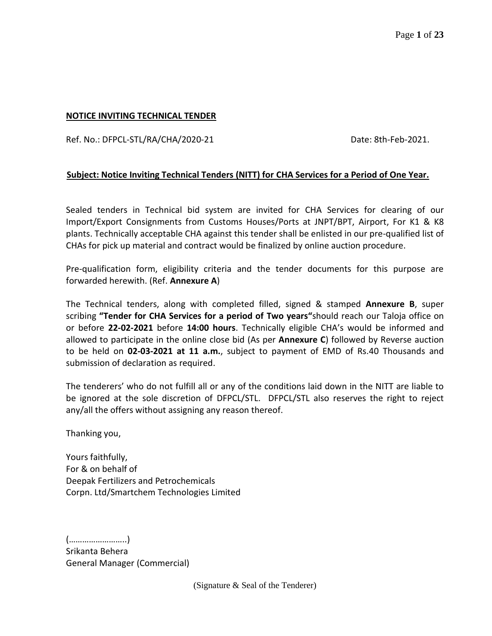#### **NOTICE INVITING TECHNICAL TENDER**

Ref. No.: DFPCL-STL/RA/CHA/2020-21 Date: 8th-Feb-2021.

### **Subject: Notice Inviting Technical Tenders (NITT) for CHA Services for a Period of One Year.**

Sealed tenders in Technical bid system are invited for CHA Services for clearing of our Import/Export Consignments from Customs Houses/Ports at JNPT/BPT, Airport, For K1 & K8 plants. Technically acceptable CHA against this tender shall be enlisted in our pre-qualified list of CHAs for pick up material and contract would be finalized by online auction procedure.

Pre-qualification form, eligibility criteria and the tender documents for this purpose are forwarded herewith. (Ref. **Annexure A**)

The Technical tenders, along with completed filled, signed & stamped **Annexure B**, super scribing **"Tender for CHA Services for a period of Two years"**should reach our Taloja office on or before **22-02-2021** before **14:00 hours**. Technically eligible CHA's would be informed and allowed to participate in the online close bid (As per **Annexure C**) followed by Reverse auction to be held on **02-03-2021 at 11 a.m.**, subject to payment of EMD of Rs.40 Thousands and submission of declaration as required.

The tenderers' who do not fulfill all or any of the conditions laid down in the NITT are liable to be ignored at the sole discretion of DFPCL/STL. DFPCL/STL also reserves the right to reject any/all the offers without assigning any reason thereof.

Thanking you,

Yours faithfully, For & on behalf of Deepak Fertilizers and Petrochemicals Corpn. Ltd/Smartchem Technologies Limited

(……………………..) Srikanta Behera General Manager (Commercial)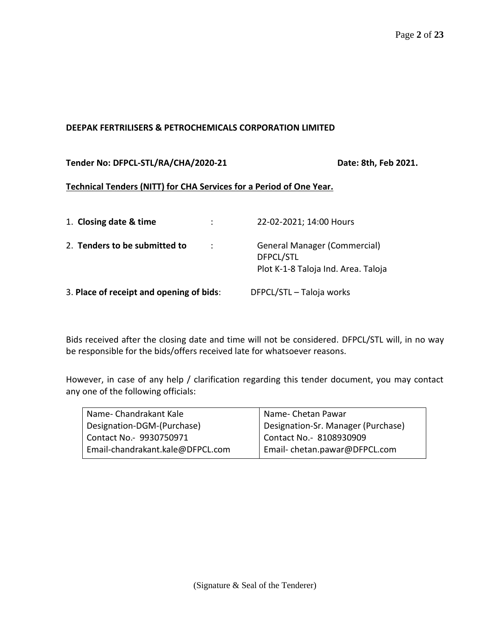#### **DEEPAK FERTRILISERS & PETROCHEMICALS CORPORATION LIMITED**

#### **Tender No: DFPCL-STL/RA/CHA/2020-21 Date: 8th, Feb 2021.**

#### **Technical Tenders (NITT) for CHA Services for a Period of One Year.**

| 1. Closing date & time                      | 22-02-2021; 14:00 Hours                                                                 |
|---------------------------------------------|-----------------------------------------------------------------------------------------|
| 2. Tenders to be submitted to<br>$\sim$ 100 | <b>General Manager (Commercial)</b><br>DFPCL/STL<br>Plot K-1-8 Taloja Ind. Area. Taloja |
| 3. Place of receipt and opening of bids:    | DFPCL/STL - Taloja works                                                                |

Bids received after the closing date and time will not be considered. DFPCL/STL will, in no way be responsible for the bids/offers received late for whatsoever reasons.

However, in case of any help / clarification regarding this tender document, you may contact any one of the following officials:

| Name-Chandrakant Kale            | Name- Chetan Pawar                 |
|----------------------------------|------------------------------------|
| Designation-DGM-(Purchase)       | Designation-Sr. Manager (Purchase) |
| Contact No. - 9930750971         | Contact No.- 8108930909            |
| Email-chandrakant.kale@DFPCL.com | Email-chetan.pawar@DFPCL.com       |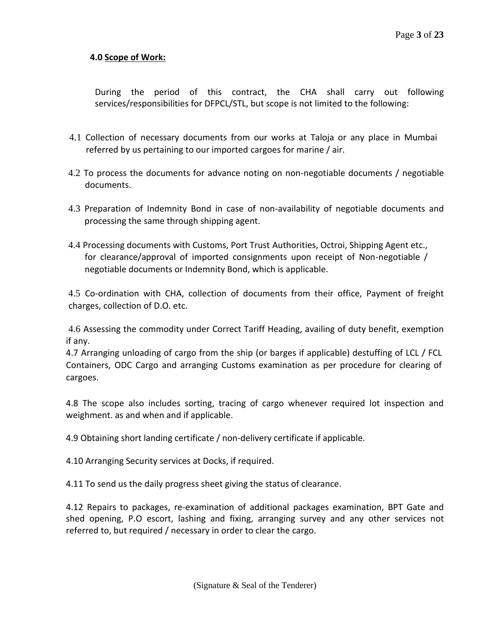## **4.0 Scope of Work:**

During the period of this contract, the CHA shall carry out following services/responsibilities for DFPCL/STL, but scope is not limited to the following:

- 4.1 Collection of necessary documents from our works at Taloja or any place in Mumbai referred by us pertaining to our imported cargoes for marine / air.
- 4.2 To process the documents for advance noting on non-negotiable documents / negotiable documents.
- 4.3 Preparation of Indemnity Bond in case of non-availability of negotiable documents and processing the same through shipping agent.
- 4.4 Processing documents with Customs, Port Trust Authorities, Octroi, Shipping Agent etc., for clearance/approval of imported consignments upon receipt of Non-negotiable / negotiable documents or Indemnity Bond, which is applicable.

4.5 Co-ordination with CHA, collection of documents from their office, Payment of freight charges, collection of D.O. etc.

4.6 Assessing the commodity under Correct Tariff Heading, availing of duty benefit, exemption if any.

4.7 Arranging unloading of cargo from the ship (or barges if applicable) destuffing of LCL / FCL Containers, ODC Cargo and arranging Customs examination as per procedure for clearing of cargoes.

4.8 The scope also includes sorting, tracing of cargo whenever required lot inspection and weighment. as and when and if applicable.

4.9 Obtaining short landing certificate / non-delivery certificate if applicable.

4.10 Arranging Security services at Docks, if required.

4.11 To send us the daily progress sheet giving the status of clearance.

4.12 Repairs to packages, re-examination of additional packages examination, BPT Gate and shed opening, P.O escort, lashing and fixing, arranging survey and any other services not referred to, but required / necessary in order to clear the cargo.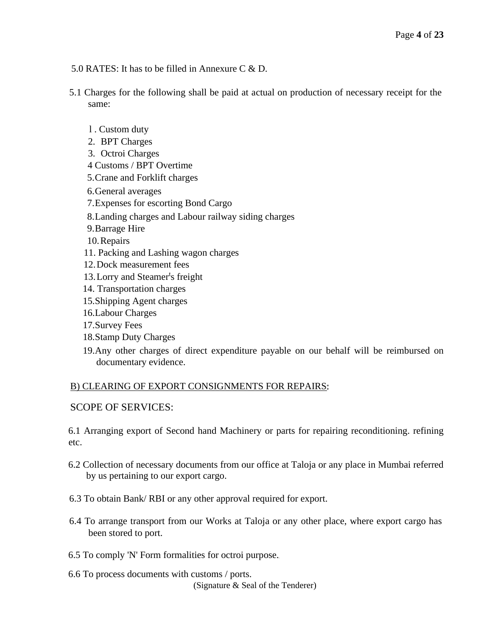- 5.0 RATES: It has to be filled in Annexure C & D.
- 5.1 Charges for the following shall be paid at actual on production of necessary receipt for the same:
	- l . Custom duty
	- 2. BPT Charges
	- 3. Octroi Charges
	- 4 Customs / BPT Overtime
	- 5.Crane and Forklift charges
	- 6.General averages
	- 7.Expenses for escorting Bond Cargo
	- 8.Landing charges and Labour railway siding charges
	- 9.Barrage Hire
	- 10.Repairs
	- 11. Packing and Lashing wagon charges
	- 12.Dock measurement fees
	- 13. Lorry and Steamer's freight
	- 14. Transportation charges
	- 15.Shipping Agent charges
	- 16.Labour Charges
	- 17.Survey Fees
	- 18.Stamp Duty Charges
	- 19.Any other charges of direct expenditure payable on our behalf will be reimbursed on documentary evidence.

#### B) CLEARING OF EXPORT CONSIGNMENTS FOR REPAIRS

#### SCOPE OF SERVICES:

6.1 Arranging export of Second hand Machinery or parts for repairing reconditioning. refining etc.

- 6.2 Collection of necessary documents from our office at Taloja or any place in Mumbai referred by us pertaining to our export cargo.
- 6.3 To obtain Bank/ RBI or any other approval required for export.
- 6.4 To arrange transport from our Works at Taloja or any other place, where export cargo has been stored to port.
- 6.5 To comply 'N' Form formalities for octroi purpose.
- (Signature & Seal of the Tenderer) 6.6 To process documents with customs / ports.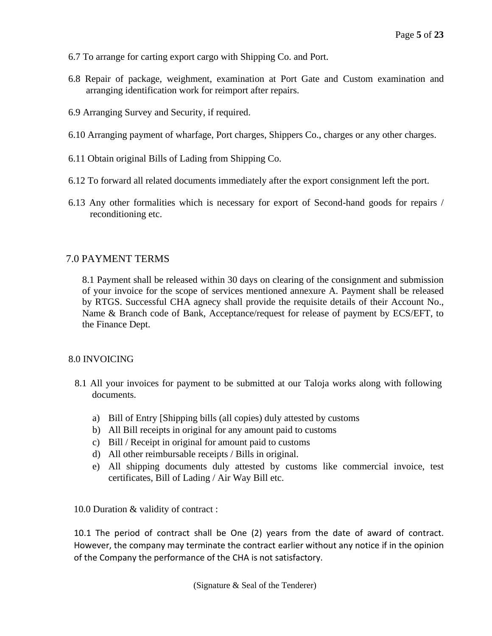- 6.7 To arrange for carting export cargo with Shipping Co. and Port.
- 6.8 Repair of package, weighment, examination at Port Gate and Custom examination and arranging identification work for reimport after repairs.
- 6.9 Arranging Survey and Security, if required.
- 6.10 Arranging payment of wharfage, Port charges, Shippers Co., charges or any other charges.
- 6.11 Obtain original Bills of Lading from Shipping Co.
- 6.12 To forward all related documents immediately after the export consignment left the port.
- 6.13 Any other formalities which is necessary for export of Second-hand goods for repairs / reconditioning etc.

### 7.0 PAYMENT TERMS

8.1 Payment shall be released within 30 days on clearing of the consignment and submission of your invoice for the scope of services mentioned annexure A. Payment shall be released by RTGS. Successful CHA agnecy shall provide the requisite details of their Account No., Name & Branch code of Bank, Acceptance/request for release of payment by ECS/EFT, to the Finance Dept.

#### 8.0 INVOICING

- 8.1 All your invoices for payment to be submitted at our Taloja works along with following documents.
	- a) Bill of Entry [Shipping bills (all copies) duly attested by customs
	- b) All Bill receipts in original for any amount paid to customs
	- c) Bill / Receipt in original for amount paid to customs
	- d) All other reimbursable receipts / Bills in original.
	- e) All shipping documents duly attested by customs like commercial invoice, test certificates, Bill of Lading / Air Way Bill etc.

10.0 Duration & validity of contract :

10.1 The period of contract shall be One (2) years from the date of award of contract. However, the company may terminate the contract earlier without any notice if in the opinion of the Company the performance of the CHA is not satisfactory.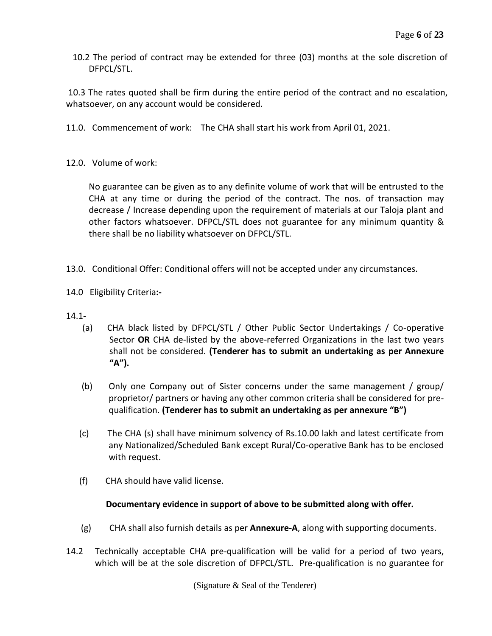10.2 The period of contract may be extended for three (03) months at the sole discretion of DFPCL/STL.

10.3 The rates quoted shall be firm during the entire period of the contract and no escalation, whatsoever, on any account would be considered.

- 11.0. Commencement of work: The CHA shall start his work from April 01, 2021.
- 12.0. Volume of work:

No guarantee can be given as to any definite volume of work that will be entrusted to the CHA at any time or during the period of the contract. The nos. of transaction may decrease / Increase depending upon the requirement of materials at our Taloja plant and other factors whatsoever. DFPCL/STL does not guarantee for any minimum quantity & there shall be no liability whatsoever on DFPCL/STL.

- 13.0. Conditional Offer: Conditional offers will not be accepted under any circumstances.
- 14.0 Eligibility Criteria**:-**
- 14.1-
	- (a) CHA black listed by DFPCL/STL / Other Public Sector Undertakings / Co-operative Sector **OR** CHA de-listed by the above-referred Organizations in the last two years shall not be considered. **(Tenderer has to submit an undertaking as per Annexure "A").**
	- (b) Only one Company out of Sister concerns under the same management / group/ proprietor/ partners or having any other common criteria shall be considered for prequalification. **(Tenderer has to submit an undertaking as per annexure "B")**
	- (c) The CHA (s) shall have minimum solvency of Rs.10.00 lakh and latest certificate from any Nationalized/Scheduled Bank except Rural/Co-operative Bank has to be enclosed with request.
	- (f) CHA should have valid license.

## **Documentary evidence in support of above to be submitted along with offer.**

- (g) CHA shall also furnish details as per **Annexure-A**, along with supporting documents.
- 14.2 Technically acceptable CHA pre-qualification will be valid for a period of two years, which will be at the sole discretion of DFPCL/STL. Pre-qualification is no guarantee for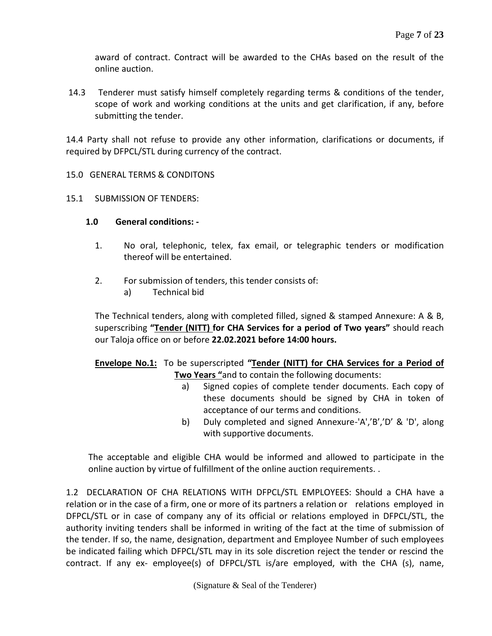award of contract. Contract will be awarded to the CHAs based on the result of the online auction.

14.3 Tenderer must satisfy himself completely regarding terms & conditions of the tender, scope of work and working conditions at the units and get clarification, if any, before submitting the tender.

14.4 Party shall not refuse to provide any other information, clarifications or documents, if required by DFPCL/STL during currency of the contract.

### 15.0 GENERAL TERMS & CONDITONS

15.1 SUBMISSION OF TENDERS:

### **1.0 General conditions: -**

- 1. No oral, telephonic, telex, fax email, or telegraphic tenders or modification thereof will be entertained.
- 2. For submission of tenders, this tender consists of:
	- a) Technical bid

The Technical tenders, along with completed filled, signed & stamped Annexure: A & B, superscribing **"Tender (NITT) for CHA Services for a period of Two years"** should reach our Taloja office on or before **22.02.2021 before 14:00 hours.**

## **Envelope No.1:** To be superscripted **"Tender (NITT) for CHA Services for a Period of Two Years "**and to contain the following documents:

- a) Signed copies of complete tender documents. Each copy of these documents should be signed by CHA in token of acceptance of our terms and conditions.
- b) Duly completed and signed Annexure-'A','B','D' & 'D', along with supportive documents.

The acceptable and eligible CHA would be informed and allowed to participate in the online auction by virtue of fulfillment of the online auction requirements. .

1.2 DECLARATION OF CHA RELATIONS WITH DFPCL/STL EMPLOYEES: Should a CHA have a relation or in the case of a firm, one or more of its partners a relation or relations employed in DFPCL/STL or in case of company any of its official or relations employed in DFPCL/STL, the authority inviting tenders shall be informed in writing of the fact at the time of submission of the tender. If so, the name, designation, department and Employee Number of such employees be indicated failing which DFPCL/STL may in its sole discretion reject the tender or rescind the contract. If any ex- employee(s) of DFPCL/STL is/are employed, with the CHA (s), name,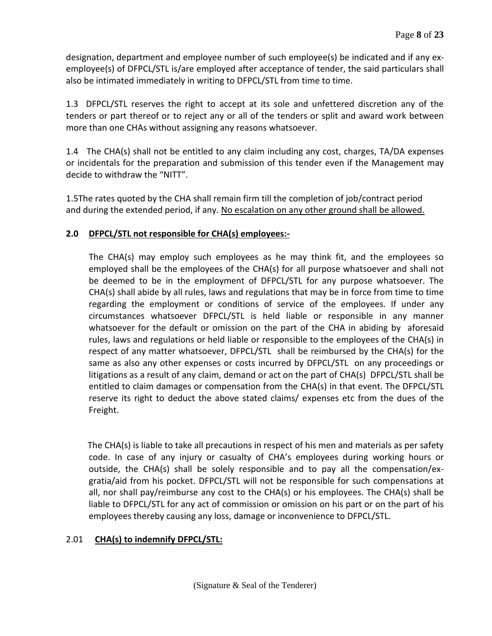designation, department and employee number of such employee(s) be indicated and if any exemployee(s) of DFPCL/STL is/are employed after acceptance of tender, the said particulars shall also be intimated immediately in writing to DFPCL/STL from time to time.

1.3 DFPCL/STL reserves the right to accept at its sole and unfettered discretion any of the tenders or part thereof or to reject any or all of the tenders or split and award work between more than one CHAs without assigning any reasons whatsoever.

1.4 The CHA(s) shall not be entitled to any claim including any cost, charges, TA/DA expenses or incidentals for the preparation and submission of this tender even if the Management may decide to withdraw the "NITT".

1.5The rates quoted by the CHA shall remain firm till the completion of job/contract period and during the extended period, if any. No escalation on any other ground shall be allowed.

# **2.0 DFPCL/STL not responsible for CHA(s) employees:-**

The CHA(s) may employ such employees as he may think fit, and the employees so employed shall be the employees of the CHA(s) for all purpose whatsoever and shall not be deemed to be in the employment of DFPCL/STL for any purpose whatsoever. The CHA(s) shall abide by all rules, laws and regulations that may be in force from time to time regarding the employment or conditions of service of the employees. If under any circumstances whatsoever DFPCL/STL is held liable or responsible in any manner whatsoever for the default or omission on the part of the CHA in abiding by aforesaid rules, laws and regulations or held liable or responsible to the employees of the CHA(s) in respect of any matter whatsoever, DFPCL/STL shall be reimbursed by the CHA(s) for the same as also any other expenses or costs incurred by DFPCL/STL on any proceedings or litigations as a result of any claim, demand or act on the part of CHA(s) DFPCL/STL shall be entitled to claim damages or compensation from the CHA(s) in that event. The DFPCL/STL reserve its right to deduct the above stated claims/ expenses etc from the dues of the Freight.

The CHA(s) is liable to take all precautions in respect of his men and materials as per safety code. In case of any injury or casualty of CHA's employees during working hours or outside, the CHA(s) shall be solely responsible and to pay all the compensation/exgratia/aid from his pocket. DFPCL/STL will not be responsible for such compensations at all, nor shall pay/reimburse any cost to the CHA(s) or his employees. The CHA(s) shall be liable to DFPCL/STL for any act of commission or omission on his part or on the part of his employees thereby causing any loss, damage or inconvenience to DFPCL/STL.

## 2.01 **CHA(s) to indemnify DFPCL/STL:**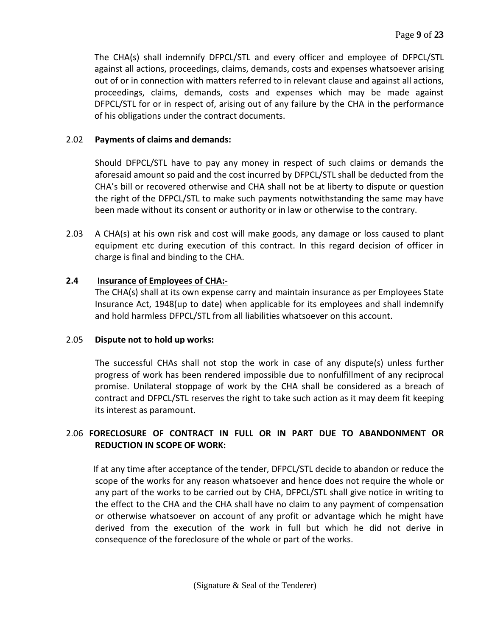The CHA(s) shall indemnify DFPCL/STL and every officer and employee of DFPCL/STL against all actions, proceedings, claims, demands, costs and expenses whatsoever arising out of or in connection with matters referred to in relevant clause and against all actions, proceedings, claims, demands, costs and expenses which may be made against DFPCL/STL for or in respect of, arising out of any failure by the CHA in the performance of his obligations under the contract documents.

### 2.02 **Payments of claims and demands:**

Should DFPCL/STL have to pay any money in respect of such claims or demands the aforesaid amount so paid and the cost incurred by DFPCL/STL shall be deducted from the CHA's bill or recovered otherwise and CHA shall not be at liberty to dispute or question the right of the DFPCL/STL to make such payments notwithstanding the same may have been made without its consent or authority or in law or otherwise to the contrary.

2.03 A CHA(s) at his own risk and cost will make goods, any damage or loss caused to plant equipment etc during execution of this contract. In this regard decision of officer in charge is final and binding to the CHA.

## **2.4 Insurance of Employees of CHA:-**

The CHA(s) shall at its own expense carry and maintain insurance as per Employees State Insurance Act, 1948(up to date) when applicable for its employees and shall indemnify and hold harmless DFPCL/STL from all liabilities whatsoever on this account.

## 2.05 **Dispute not to hold up works:**

The successful CHAs shall not stop the work in case of any dispute(s) unless further progress of work has been rendered impossible due to nonfulfillment of any reciprocal promise. Unilateral stoppage of work by the CHA shall be considered as a breach of contract and DFPCL/STL reserves the right to take such action as it may deem fit keeping its interest as paramount.

# 2.06 **FORECLOSURE OF CONTRACT IN FULL OR IN PART DUE TO ABANDONMENT OR REDUCTION IN SCOPE OF WORK:**

 If at any time after acceptance of the tender, DFPCL/STL decide to abandon or reduce the scope of the works for any reason whatsoever and hence does not require the whole or any part of the works to be carried out by CHA, DFPCL/STL shall give notice in writing to the effect to the CHA and the CHA shall have no claim to any payment of compensation or otherwise whatsoever on account of any profit or advantage which he might have derived from the execution of the work in full but which he did not derive in consequence of the foreclosure of the whole or part of the works.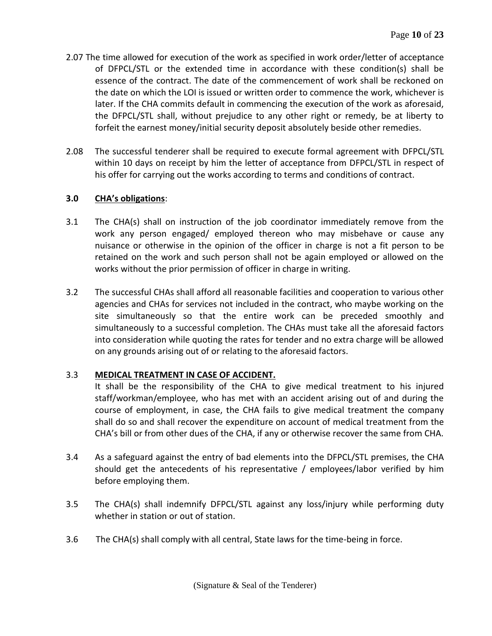- 2.07 The time allowed for execution of the work as specified in work order/letter of acceptance of DFPCL/STL or the extended time in accordance with these condition(s) shall be essence of the contract. The date of the commencement of work shall be reckoned on the date on which the LOI is issued or written order to commence the work, whichever is later. If the CHA commits default in commencing the execution of the work as aforesaid, the DFPCL/STL shall, without prejudice to any other right or remedy, be at liberty to forfeit the earnest money/initial security deposit absolutely beside other remedies.
- 2.08 The successful tenderer shall be required to execute formal agreement with DFPCL/STL within 10 days on receipt by him the letter of acceptance from DFPCL/STL in respect of his offer for carrying out the works according to terms and conditions of contract.

# **3.0 CHA's obligations**:

- 3.1 The CHA(s) shall on instruction of the job coordinator immediately remove from the work any person engaged/ employed thereon who may misbehave or cause any nuisance or otherwise in the opinion of the officer in charge is not a fit person to be retained on the work and such person shall not be again employed or allowed on the works without the prior permission of officer in charge in writing.
- 3.2 The successful CHAs shall afford all reasonable facilities and cooperation to various other agencies and CHAs for services not included in the contract, who maybe working on the site simultaneously so that the entire work can be preceded smoothly and simultaneously to a successful completion. The CHAs must take all the aforesaid factors into consideration while quoting the rates for tender and no extra charge will be allowed on any grounds arising out of or relating to the aforesaid factors.

# 3.3 **MEDICAL TREATMENT IN CASE OF ACCIDENT.**

It shall be the responsibility of the CHA to give medical treatment to his injured staff/workman/employee, who has met with an accident arising out of and during the course of employment, in case, the CHA fails to give medical treatment the company shall do so and shall recover the expenditure on account of medical treatment from the CHA's bill or from other dues of the CHA, if any or otherwise recover the same from CHA.

- 3.4 As a safeguard against the entry of bad elements into the DFPCL/STL premises, the CHA should get the antecedents of his representative / employees/labor verified by him before employing them.
- 3.5 The CHA(s) shall indemnify DFPCL/STL against any loss/injury while performing duty whether in station or out of station.
- 3.6 The CHA(s) shall comply with all central, State laws for the time-being in force.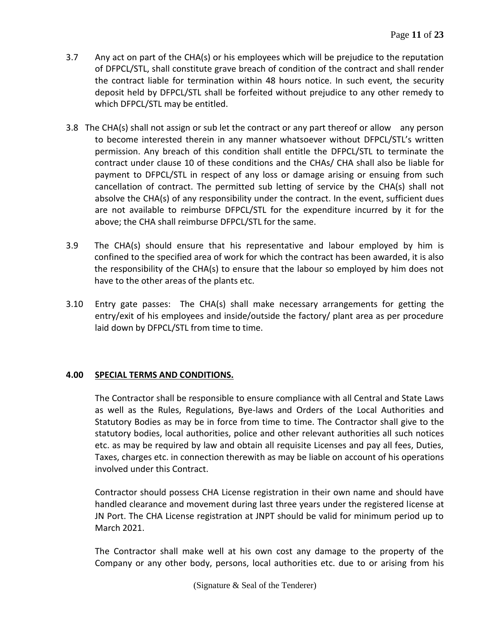- 3.7 Any act on part of the CHA(s) or his employees which will be prejudice to the reputation of DFPCL/STL, shall constitute grave breach of condition of the contract and shall render the contract liable for termination within 48 hours notice. In such event, the security deposit held by DFPCL/STL shall be forfeited without prejudice to any other remedy to which DFPCL/STL may be entitled.
- 3.8 The CHA(s) shall not assign or sub let the contract or any part thereof or allow any person to become interested therein in any manner whatsoever without DFPCL/STL's written permission. Any breach of this condition shall entitle the DFPCL/STL to terminate the contract under clause 10 of these conditions and the CHAs/ CHA shall also be liable for payment to DFPCL/STL in respect of any loss or damage arising or ensuing from such cancellation of contract. The permitted sub letting of service by the CHA(s) shall not absolve the CHA(s) of any responsibility under the contract. In the event, sufficient dues are not available to reimburse DFPCL/STL for the expenditure incurred by it for the above; the CHA shall reimburse DFPCL/STL for the same.
- 3.9 The CHA(s) should ensure that his representative and labour employed by him is confined to the specified area of work for which the contract has been awarded, it is also the responsibility of the CHA(s) to ensure that the labour so employed by him does not have to the other areas of the plants etc.
- 3.10 Entry gate passes: The CHA(s) shall make necessary arrangements for getting the entry/exit of his employees and inside/outside the factory/ plant area as per procedure laid down by DFPCL/STL from time to time.

# **4.00 SPECIAL TERMS AND CONDITIONS.**

The Contractor shall be responsible to ensure compliance with all Central and State Laws as well as the Rules, Regulations, Bye-laws and Orders of the Local Authorities and Statutory Bodies as may be in force from time to time. The Contractor shall give to the statutory bodies, local authorities, police and other relevant authorities all such notices etc. as may be required by law and obtain all requisite Licenses and pay all fees, Duties, Taxes, charges etc. in connection therewith as may be liable on account of his operations involved under this Contract.

Contractor should possess CHA License registration in their own name and should have handled clearance and movement during last three years under the registered license at JN Port. The CHA License registration at JNPT should be valid for minimum period up to March 2021.

The Contractor shall make well at his own cost any damage to the property of the Company or any other body, persons, local authorities etc. due to or arising from his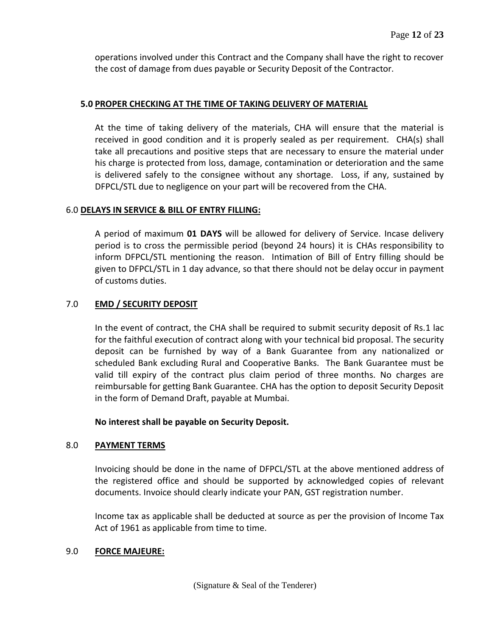operations involved under this Contract and the Company shall have the right to recover the cost of damage from dues payable or Security Deposit of the Contractor.

## **5.0 PROPER CHECKING AT THE TIME OF TAKING DELIVERY OF MATERIAL**

At the time of taking delivery of the materials, CHA will ensure that the material is received in good condition and it is properly sealed as per requirement. CHA(s) shall take all precautions and positive steps that are necessary to ensure the material under his charge is protected from loss, damage, contamination or deterioration and the same is delivered safely to the consignee without any shortage. Loss, if any, sustained by DFPCL/STL due to negligence on your part will be recovered from the CHA.

## 6.0 **DELAYS IN SERVICE & BILL OF ENTRY FILLING:**

A period of maximum **01 DAYS** will be allowed for delivery of Service. Incase delivery period is to cross the permissible period (beyond 24 hours) it is CHAs responsibility to inform DFPCL/STL mentioning the reason. Intimation of Bill of Entry filling should be given to DFPCL/STL in 1 day advance, so that there should not be delay occur in payment of customs duties.

# 7.0 **EMD / SECURITY DEPOSIT**

In the event of contract, the CHA shall be required to submit security deposit of Rs.1 lac for the faithful execution of contract along with your technical bid proposal. The security deposit can be furnished by way of a Bank Guarantee from any nationalized or scheduled Bank excluding Rural and Cooperative Banks. The Bank Guarantee must be valid till expiry of the contract plus claim period of three months. No charges are reimbursable for getting Bank Guarantee. CHA has the option to deposit Security Deposit in the form of Demand Draft, payable at Mumbai.

## **No interest shall be payable on Security Deposit.**

## 8.0 **PAYMENT TERMS**

Invoicing should be done in the name of DFPCL/STL at the above mentioned address of the registered office and should be supported by acknowledged copies of relevant documents. Invoice should clearly indicate your PAN, GST registration number.

Income tax as applicable shall be deducted at source as per the provision of Income Tax Act of 1961 as applicable from time to time.

## 9.0 **FORCE MAJEURE:**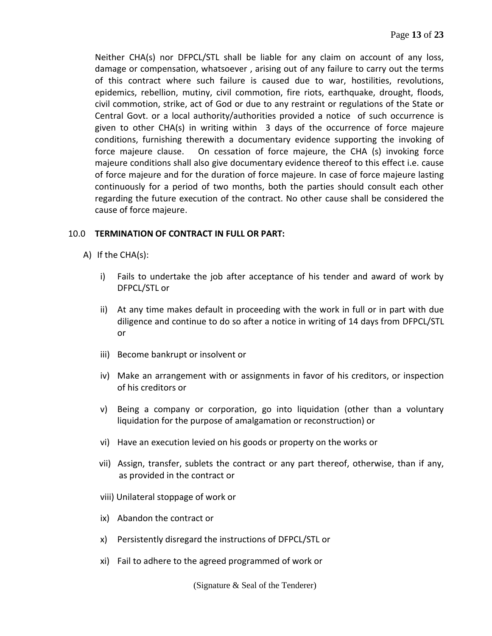Neither CHA(s) nor DFPCL/STL shall be liable for any claim on account of any loss, damage or compensation, whatsoever , arising out of any failure to carry out the terms of this contract where such failure is caused due to war, hostilities, revolutions, epidemics, rebellion, mutiny, civil commotion, fire riots, earthquake, drought, floods, civil commotion, strike, act of God or due to any restraint or regulations of the State or Central Govt. or a local authority/authorities provided a notice of such occurrence is given to other CHA(s) in writing within 3 days of the occurrence of force majeure conditions, furnishing therewith a documentary evidence supporting the invoking of force majeure clause. On cessation of force majeure, the CHA (s) invoking force majeure conditions shall also give documentary evidence thereof to this effect i.e. cause of force majeure and for the duration of force majeure. In case of force majeure lasting continuously for a period of two months, both the parties should consult each other regarding the future execution of the contract. No other cause shall be considered the cause of force majeure.

## 10.0 **TERMINATION OF CONTRACT IN FULL OR PART:**

- A) If the CHA(s):
	- i) Fails to undertake the job after acceptance of his tender and award of work by DFPCL/STL or
	- ii) At any time makes default in proceeding with the work in full or in part with due diligence and continue to do so after a notice in writing of 14 days from DFPCL/STL or
	- iii) Become bankrupt or insolvent or
	- iv) Make an arrangement with or assignments in favor of his creditors, or inspection of his creditors or
	- v) Being a company or corporation, go into liquidation (other than a voluntary liquidation for the purpose of amalgamation or reconstruction) or
	- vi) Have an execution levied on his goods or property on the works or
	- vii) Assign, transfer, sublets the contract or any part thereof, otherwise, than if any, as provided in the contract or
	- viii) Unilateral stoppage of work or
	- ix) Abandon the contract or
	- x) Persistently disregard the instructions of DFPCL/STL or
	- xi) Fail to adhere to the agreed programmed of work or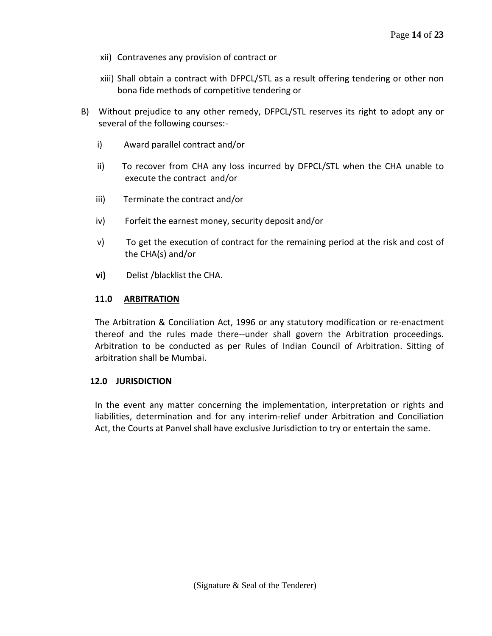- xii) Contravenes any provision of contract or
- xiii) Shall obtain a contract with DFPCL/STL as a result offering tendering or other non bona fide methods of competitive tendering or
- B) Without prejudice to any other remedy, DFPCL/STL reserves its right to adopt any or several of the following courses:
	- i) Award parallel contract and/or
	- ii) To recover from CHA any loss incurred by DFPCL/STL when the CHA unable to execute the contract and/or
	- iii) Terminate the contract and/or
	- iv) Forfeit the earnest money, security deposit and/or
	- v) To get the execution of contract for the remaining period at the risk and cost of the CHA(s) and/or
	- **vi)** Delist /blacklist the CHA.

## **11.0 ARBITRATION**

The Arbitration & Conciliation Act, 1996 or any statutory modification or re-enactment thereof and the rules made there--under shall govern the Arbitration proceedings. Arbitration to be conducted as per Rules of Indian Council of Arbitration. Sitting of arbitration shall be Mumbai.

#### **12.0 JURISDICTION**

In the event any matter concerning the implementation, interpretation or rights and liabilities, determination and for any interim-relief under Arbitration and Conciliation Act, the Courts at Panvel shall have exclusive Jurisdiction to try or entertain the same.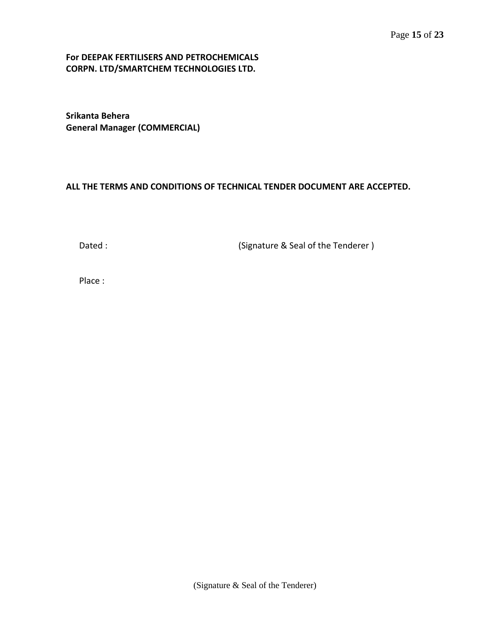### **For DEEPAK FERTILISERS AND PETROCHEMICALS CORPN. LTD/SMARTCHEM TECHNOLOGIES LTD.**

**Srikanta Behera General Manager (COMMERCIAL)**

### **ALL THE TERMS AND CONDITIONS OF TECHNICAL TENDER DOCUMENT ARE ACCEPTED.**

Dated : Case Contract (Signature & Seal of the Tenderer )

Place :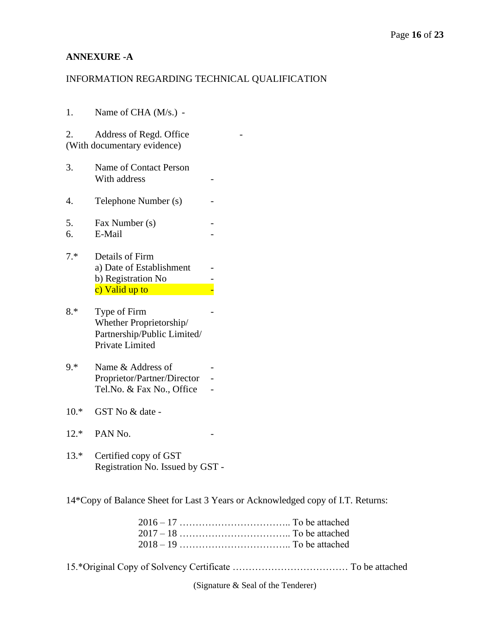# **ANNEXURE -A**

## INFORMATION REGARDING TECHNICAL QUALIFICATION

| 1.       | Name of CHA (M/s.) -                                                                      |  |
|----------|-------------------------------------------------------------------------------------------|--|
| 2.       | Address of Regd. Office<br>(With documentary evidence)                                    |  |
| 3.       | Name of Contact Person<br>With address                                                    |  |
| 4.       | Telephone Number (s)                                                                      |  |
| 5.<br>6. | Fax Number (s)<br>E-Mail                                                                  |  |
| $7.*$    | Details of Firm<br>a) Date of Establishment<br>b) Registration No<br>c) Valid up to       |  |
| $8.*$    | Type of Firm<br>Whether Proprietorship/<br>Partnership/Public Limited/<br>Private Limited |  |
| $9.*$    | Name & Address of<br>Proprietor/Partner/Director<br>Tel.No. & Fax No., Office             |  |
| $10.*$   | GST No & date -                                                                           |  |
| $12.*$   | PAN <sub>No.</sub>                                                                        |  |
| $13.*$   | Certified copy of GST<br>Registration No. Issued by GST -                                 |  |
|          | $14$ $K$ can of Delange Sheet for Lest $2$ $V$ can                                        |  |

14\*Copy of Balance Sheet for Last 3 Years or Acknowledged copy of I.T. Returns:

15.\*Original Copy of Solvency Certificate ……………………………… To be attached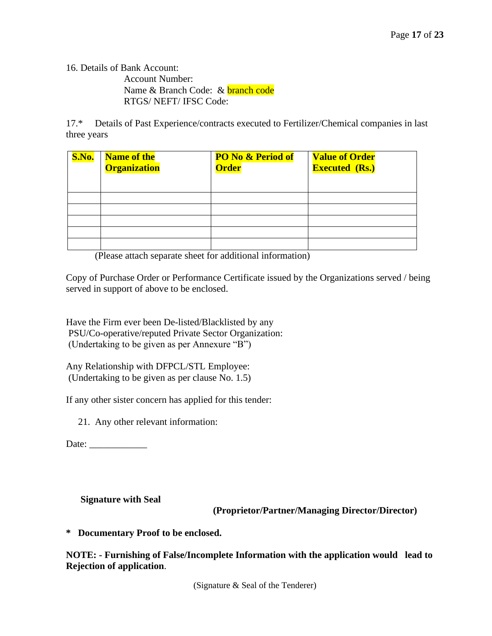16. Details of Bank Account:

 Account Number: Name & Branch Code: & **branch code** RTGS/ NEFT/ IFSC Code:

17.\* Details of Past Experience/contracts executed to Fertilizer/Chemical companies in last three years

| <b>S.No.</b> | <b>Name of the</b><br><b>Organization</b> | <b>PO No &amp; Period of</b><br><b>Order</b> | <b>Value of Order</b><br><b>Executed (Rs.)</b> |
|--------------|-------------------------------------------|----------------------------------------------|------------------------------------------------|
|              |                                           |                                              |                                                |
|              |                                           |                                              |                                                |
|              |                                           |                                              |                                                |
|              |                                           |                                              |                                                |
|              |                                           |                                              |                                                |

(Please attach separate sheet for additional information)

Copy of Purchase Order or Performance Certificate issued by the Organizations served / being served in support of above to be enclosed.

Have the Firm ever been De-listed/Blacklisted by any PSU/Co-operative/reputed Private Sector Organization: (Undertaking to be given as per Annexure "B")

Any Relationship with DFPCL/STL Employee: (Undertaking to be given as per clause No. 1.5)

If any other sister concern has applied for this tender:

21. Any other relevant information:

Date:

## **Signature with Seal**

 **(Proprietor/Partner/Managing Director/Director)**

**\* Documentary Proof to be enclosed.**

**NOTE: - Furnishing of False/Incomplete Information with the application would lead to Rejection of application**.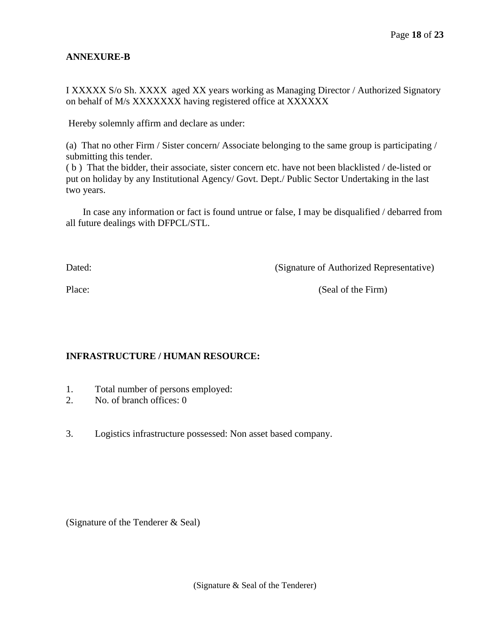# **ANNEXURE-B**

I XXXXX S/o Sh. XXXX aged XX years working as Managing Director / Authorized Signatory on behalf of M/s XXXXXXX having registered office at XXXXXX

Hereby solemnly affirm and declare as under:

(a) That no other Firm / Sister concern/ Associate belonging to the same group is participating / submitting this tender.

( b ) That the bidder, their associate, sister concern etc. have not been blacklisted / de-listed or put on holiday by any Institutional Agency/ Govt. Dept./ Public Sector Undertaking in the last two years.

 In case any information or fact is found untrue or false, I may be disqualified / debarred from all future dealings with DFPCL/STL.

Dated: (Signature of Authorized Representative)

Place: (Seal of the Firm)

# **INFRASTRUCTURE / HUMAN RESOURCE:**

- 1. Total number of persons employed:
- 2. No. of branch offices: 0
- 3. Logistics infrastructure possessed: Non asset based company.

(Signature of the Tenderer & Seal)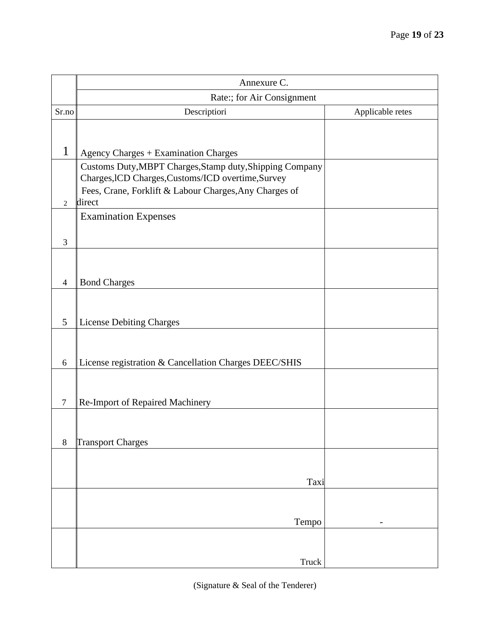|                          | Annexure C.                                                                                                    |                  |
|--------------------------|----------------------------------------------------------------------------------------------------------------|------------------|
|                          | Rate:; for Air Consignment                                                                                     |                  |
| Sr.no                    | Descriptiori                                                                                                   | Applicable retes |
|                          |                                                                                                                |                  |
| 1                        | <b>Agency Charges + Examination Charges</b>                                                                    |                  |
|                          | Customs Duty, MBPT Charges, Stamp duty, Shipping Company<br>Charges, ICD Charges, Customs/ICD overtime, Survey |                  |
| $\overline{2}$           | Fees, Crane, Forklift & Labour Charges, Any Charges of<br>direct                                               |                  |
|                          | <b>Examination Expenses</b>                                                                                    |                  |
| 3                        |                                                                                                                |                  |
|                          |                                                                                                                |                  |
| $\overline{\mathcal{A}}$ | <b>Bond Charges</b>                                                                                            |                  |
|                          |                                                                                                                |                  |
| 5                        | <b>License Debiting Charges</b>                                                                                |                  |
|                          |                                                                                                                |                  |
| 6                        | License registration & Cancellation Charges DEEC/SHIS                                                          |                  |
|                          |                                                                                                                |                  |
| $\tau$                   | Re-Import of Repaired Machinery                                                                                |                  |
|                          |                                                                                                                |                  |
| $8\,$                    | Transport Charges                                                                                              |                  |
|                          |                                                                                                                |                  |
|                          | Taxi                                                                                                           |                  |
|                          |                                                                                                                |                  |
|                          | Tempo                                                                                                          |                  |
|                          |                                                                                                                |                  |
|                          | Truck                                                                                                          |                  |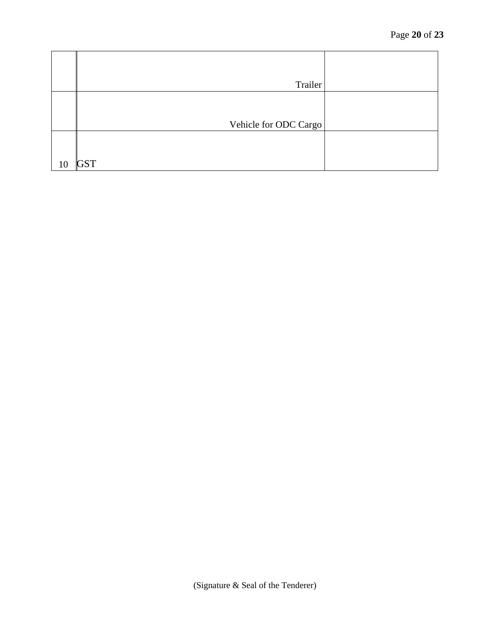|    | Trailer               |  |
|----|-----------------------|--|
|    |                       |  |
|    | Vehicle for ODC Cargo |  |
|    |                       |  |
| 10 | <b>GST</b>            |  |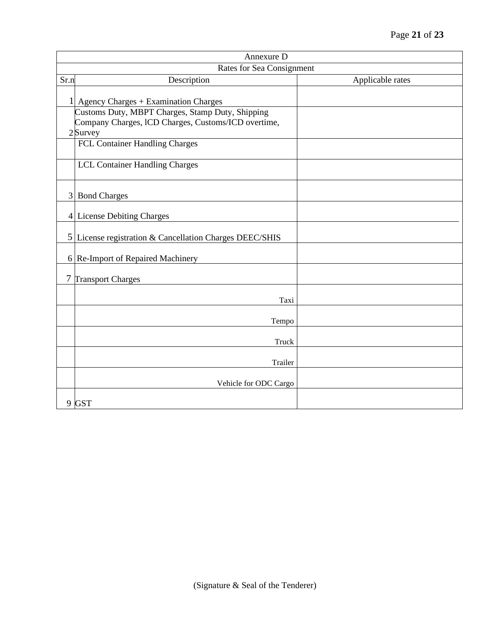|        | Annexure D                                                                                                            |                  |  |
|--------|-----------------------------------------------------------------------------------------------------------------------|------------------|--|
|        | Rates for Sea Consignment                                                                                             |                  |  |
| Sr.n   | Description                                                                                                           | Applicable rates |  |
|        | 1 Agency Charges + Examination Charges                                                                                |                  |  |
|        | Customs Duty, MBPT Charges, Stamp Duty, Shipping<br>Company Charges, ICD Charges, Customs/ICD overtime,<br>$2$ Survey |                  |  |
|        | FCL Container Handling Charges                                                                                        |                  |  |
|        | <b>LCL Container Handling Charges</b>                                                                                 |                  |  |
|        | 3 Bond Charges                                                                                                        |                  |  |
|        | 4 License Debiting Charges                                                                                            |                  |  |
|        | 5 License registration & Cancellation Charges DEEC/SHIS                                                               |                  |  |
|        | 6 Re-Import of Repaired Machinery                                                                                     |                  |  |
| $\tau$ | <b>Transport Charges</b>                                                                                              |                  |  |
|        | Taxi                                                                                                                  |                  |  |
|        | Tempo                                                                                                                 |                  |  |
|        | Truck                                                                                                                 |                  |  |
|        | Trailer                                                                                                               |                  |  |
|        | Vehicle for ODC Cargo                                                                                                 |                  |  |
|        | 9 GST                                                                                                                 |                  |  |